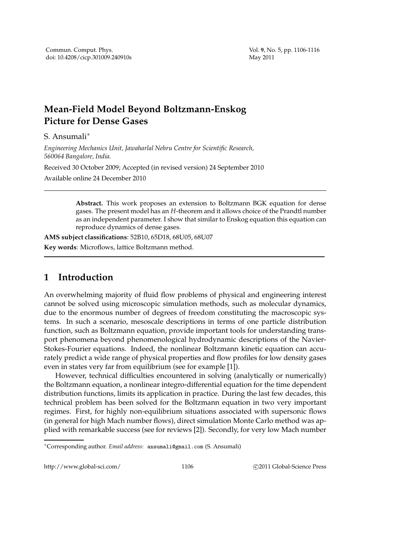## **Mean-Field Model Beyond Boltzmann-Enskog Picture for Dense Gases**

S. Ansumali∗

*Engineering Mechanics Unit, Jawaharlal Nehru Centre for Scientific Research, 560064 Bangalore, India.*

Received 30 October 2009; Accepted (in revised version) 24 September 2010

Available online 24 December 2010

**Abstract.** This work proposes an extension to Boltzmann BGK equation for dense gases. The present model has an *H*-theorem and it allows choice of the Prandtl number as an independent parameter. I show that similar to Enskog equation this equation can reproduce dynamics of dense gases.

**AMS subject classifications**: 52B10, 65D18, 68U05, 68U07 **Key words**: Microflows, lattice Boltzmann method.

## **1 Introduction**

An overwhelming majority of fluid flow problems of physical and engineering interest cannot be solved using microscopic simulation methods, such as molecular dynamics, due to the enormous number of degrees of freedom constituting the macroscopic systems. In such a scenario, mesoscale descriptions in terms of one particle distribution function, such as Boltzmann equation, provide important tools for understanding transport phenomena beyond phenomenological hydrodynamic descriptions of the Navier-Stokes-Fourier equations. Indeed, the nonlinear Boltzmann kinetic equation can accurately predict a wide range of physical properties and flow profiles for low density gases even in states very far from equilibrium (see for example [1]).

However, technical difficulties encountered in solving (analytically or numerically) the Boltzmann equation, a nonlinear integro-differential equation for the time dependent distribution functions, limits its application in practice. During the last few decades, this technical problem has been solved for the Boltzmann equation in two very important regimes. First, for highly non-equilibrium situations associated with supersonic flows (in general for high Mach number flows), direct simulation Monte Carlo method was applied with remarkable success (see for reviews [2]). Secondly, for very low Mach number

http://www.global-sci.com/ 1106 c 2011 Global-Science Press

<sup>∗</sup>Corresponding author. *Email address:* ansumali@gmail.com (S. Ansumali)